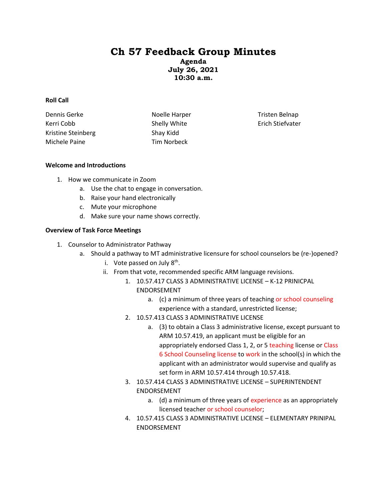# **Ch 57 Feedback Group Minutes**

**Agenda July 26, 2021 10:30 a.m.**

#### **Roll Call**

Dennis Gerke Kerri Cobb Kristine Steinberg Michele Paine

Noelle Harper Shelly White Shay Kidd Tim Norbeck

Tristen Belnap Erich Stiefvater

#### **Welcome and Introductions**

- 1. How we communicate in Zoom
	- a. Use the chat to engage in conversation.
	- b. Raise your hand electronically
	- c. Mute your microphone
	- d. Make sure your name shows correctly.

## **Overview of Task Force Meetings**

- 1. Counselor to Administrator Pathway
	- a. Should a pathway to MT administrative licensure for school counselors be (re-)opened?
		- i. Vote passed on July 8<sup>th</sup>.
		- ii. From that vote, recommended specific ARM language revisions.
			- 1. 10.57.417 CLASS 3 ADMINISTRATIVE LICENSE K-12 PRINICPAL ENDORSEMENT
				- a. (c) a minimum of three years of teaching or school counseling experience with a standard, unrestricted license;
			- 2. 10.57.413 CLASS 3 ADMINISTRATIVE LICENSE
				- a. (3) to obtain a Class 3 administrative license, except pursuant to ARM 10.57.419, an applicant must be eligible for an appropriately endorsed Class 1, 2, or 5 teaching license or Class 6 School Counseling license to work in the school(s) in which the applicant with an administrator would supervise and qualify as set form in ARM 10.57.414 through 10.57.418.
			- 3. 10.57.414 CLASS 3 ADMINISTRATIVE LICENSE SUPERINTENDENT ENDORSEMENT
				- a. (d) a minimum of three years of experience as an appropriately licensed teacher or school counselor;
			- 4. 10.57.415 CLASS 3 ADMINISTRATIVE LICENSE ELEMENTARY PRINIPAL ENDORSEMENT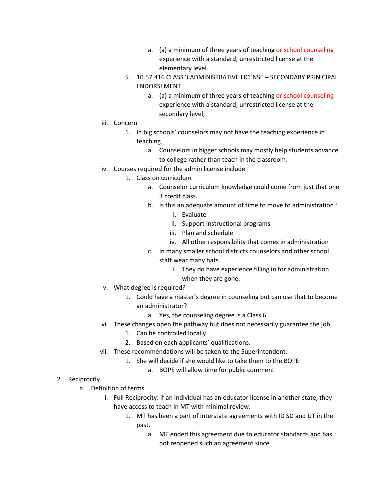- a. (a) a minimum of three years of teaching or school counseling experience with a standard, unrestricted license at the elementary level
- 5. 10.57.416 CLASS 3 ADMINISTRATIVE LICENSE SECONDARY PRINICIPAL ENDORSEMENT
	- a. (a) a minimum of three years of teaching or school counseling experience with a standard, unrestricted license at the secondary level;
- iii. Concern
	- 1. In big schools' counselors may not have the teaching experience in teaching.
		- a. Counselors in bigger schools may mostly help students advance to college rather than teach in the classroom.
- iv. Courses required for the admin license include
	- 1. Class on curriculum
		- a. Counselor curriculum knowledge could come from just that one 3 credit class.
		- b. Is this an adequate amount of time to move to administration?
			- i. Evaluate
			- ii. Support instructional programs
			- iii. Plan and schedule
			- iv. All other responsibility that comes in administration
		- c. In many smaller school districts counselors and other school staff wear many hats.
			- i. They do have experience filling in for administration when they are gone.
- v. What degree is required?
	- 1. Could have a master's degree in counseling but can use that to become an administrator?
		- a. Yes, the counseling degree is a Class 6.
- vi. These changes open the pathway but does not necessarily guarantee the job.
	- 1. Can be controlled locally
	- 2. Based on each applicants' qualifications.
- vii. These recommendations will be taken to the Superintendent.
	- 1. She will decide if she would like to take them to the BOPE
		- a. BOPE will allow time for public comment

# 2. Reciprocity

- a. Definition of terms
	- i. Full Reciprocity: if an individual has an educator license in another state, they have access to teach in MT with minimal review.
		- 1. MT has been a part of interstate agreements with ID SD and UT in the past.
			- a. MT ended this agreement due to educator standards and has not reopened such an agreement since.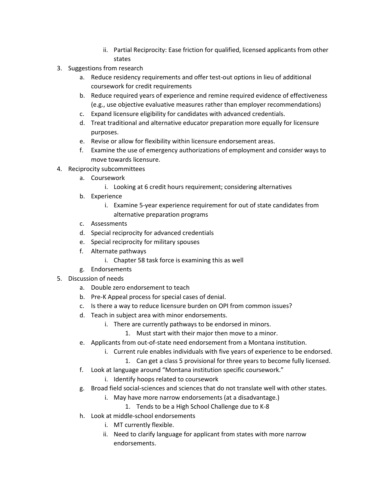- ii. Partial Reciprocity: Ease friction for qualified, licensed applicants from other states
- 3. Suggestions from research
	- a. Reduce residency requirements and offer test-out options in lieu of additional coursework for credit requirements
	- b. Reduce required years of experience and remine required evidence of effectiveness (e.g., use objective evaluative measures rather than employer recommendations)
	- c. Expand licensure eligibility for candidates with advanced credentials.
	- d. Treat traditional and alternative educator preparation more equally for licensure purposes.
	- e. Revise or allow for flexibility within licensure endorsement areas.
	- f. Examine the use of emergency authorizations of employment and consider ways to move towards licensure.
- 4. Reciprocity subcommittees
	- a. Coursework
		- i. Looking at 6 credit hours requirement; considering alternatives
	- b. Experience
		- i. Examine 5-year experience requirement for out of state candidates from
			- alternative preparation programs
	- c. Assessments
	- d. Special reciprocity for advanced credentials
	- e. Special reciprocity for military spouses
	- f. Alternate pathways
		- i. Chapter 58 task force is examining this as well
	- g. Endorsements
- 5. Discussion of needs
	- a. Double zero endorsement to teach
	- b. Pre-K Appeal process for special cases of denial.
	- c. Is there a way to reduce licensure burden on OPI from common issues?
	- d. Teach in subject area with minor endorsements.
		- i. There are currently pathways to be endorsed in minors.
			- 1. Must start with their major then move to a minor.
	- e. Applicants from out-of-state need endorsement from a Montana institution.
		- i. Current rule enables individuals with five years of experience to be endorsed.
			- 1. Can get a class 5 provisional for three years to become fully licensed.
	- f. Look at language around "Montana institution specific coursework."
		- i. Identify hoops related to coursework
	- g. Broad field social-sciences and sciences that do not translate well with other states.
		- i. May have more narrow endorsements (at a disadvantage.)
			- 1. Tends to be a High School Challenge due to K-8
	- h. Look at middle-school endorsements
		- i. MT currently flexible.
		- ii. Need to clarify language for applicant from states with more narrow endorsements.